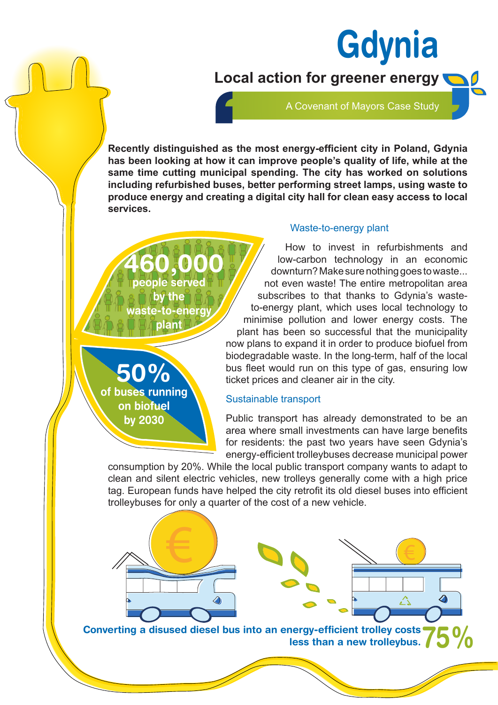**Local action for greener energy**

A Covenant of Mayors Case Study

**Gdynia** 

**Recently distinguished as the most energy-efficient city in Poland, Gdynia has been looking at how it can improve people's quality of life, while at the same time cutting municipal spending. The city has worked on solutions including refurbished buses, better performing street lamps, using waste to produce energy and creating a digital city hall for clean easy access to local services.**

**460,000 people served by the aste-to-enerc plant**



#### Waste-to-energy plant

How to invest in refurbishments and low-carbon technology in an economic downturn? Make sure nothing goes to waste... not even waste! The entire metropolitan area subscribes to that thanks to Gdynia's wasteto-energy plant, which uses local technology to minimise pollution and lower energy costs. The plant has been so successful that the municipality now plans to expand it in order to produce biofuel from biodegradable waste. In the long-term, half of the local bus fleet would run on this type of gas, ensuring low ticket prices and cleaner air in the city.

### Sustainable transport

Public transport has already demonstrated to be an area where small investments can have large benefits for residents: the past two years have seen Gdynia's energy-efficient trolleybuses decrease municipal power

consumption by 20%. While the local public transport company wants to adapt to clean and silent electric vehicles, new trolleys generally come with a high price tag. European funds have helped the city retrofit its old diesel buses into efficient trolleybuses for only a quarter of the cost of a new vehicle.



**Converting a disused diesel bus into an energy-efficient trolley costs**  less than a new trolleybus.